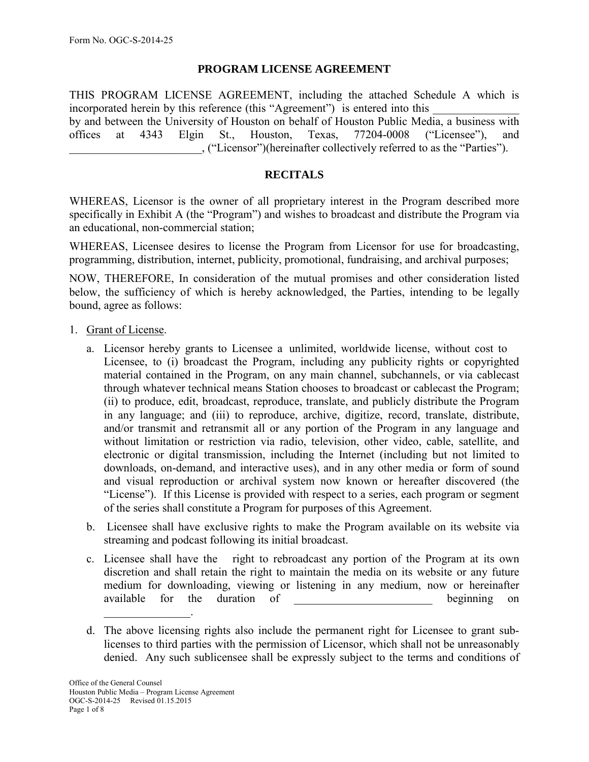## **PROGRAM LICENSE AGREEMENT**

THIS PROGRAM LICENSE AGREEMENT, including the attached Schedule A which is incorporated herein by this reference (this "Agreement") is entered into this by and between the University of Houston on behalf of Houston Public Media, a business with offices at 4343 Elgin St., Houston, Texas, 77204-0008 ("Licensee"), and \_\_\_\_\_\_\_\_\_\_\_\_\_\_\_\_\_\_\_\_\_\_\_, ("Licensor")(hereinafter collectively referred to as the "Parties").

## **RECITALS**

WHEREAS, Licensor is the owner of all proprietary interest in the Program described more specifically in Exhibit A (the "Program") and wishes to broadcast and distribute the Program via an educational, non-commercial station;

WHEREAS, Licensee desires to license the Program from Licensor for use for broadcasting, programming, distribution, internet, publicity, promotional, fundraising, and archival purposes;

NOW, THEREFORE, In consideration of the mutual promises and other consideration listed below, the sufficiency of which is hereby acknowledged, the Parties, intending to be legally bound, agree as follows:

- 1. Grant of License.
	- a. Licensor hereby grants to Licensee a unlimited, worldwide license, without cost to Licensee, to (i) broadcast the Program, including any publicity rights or copyrighted material contained in the Program, on any main channel, subchannels, or via cablecast through whatever technical means Station chooses to broadcast or cablecast the Program; (ii) to produce, edit, broadcast, reproduce, translate, and publicly distribute the Program in any language; and (iii) to reproduce, archive, digitize, record, translate, distribute, and/or transmit and retransmit all or any portion of the Program in any language and without limitation or restriction via radio, television, other video, cable, satellite, and electronic or digital transmission, including the Internet (including but not limited to downloads, on-demand, and interactive uses), and in any other media or form of sound and visual reproduction or archival system now known or hereafter discovered (the "License"). If this License is provided with respect to a series, each program or segment of the series shall constitute a Program for purposes of this Agreement.
	- b. Licensee shall have exclusive rights to make the Program available on its website via streaming and podcast following its initial broadcast.
	- c. Licensee shall have the right to rebroadcast any portion of the Program at its own discretion and shall retain the right to maintain the media on its website or any future medium for downloading, viewing or listening in any medium, now or hereinafter available for the duration of the beginning on
	- d. The above licensing rights also include the permanent right for Licensee to grant sublicenses to third parties with the permission of Licensor, which shall not be unreasonably denied. Any such sublicensee shall be expressly subject to the terms and conditions of

 $\frac{1}{2}$  ,  $\frac{1}{2}$  ,  $\frac{1}{2}$  ,  $\frac{1}{2}$  ,  $\frac{1}{2}$  ,  $\frac{1}{2}$  ,  $\frac{1}{2}$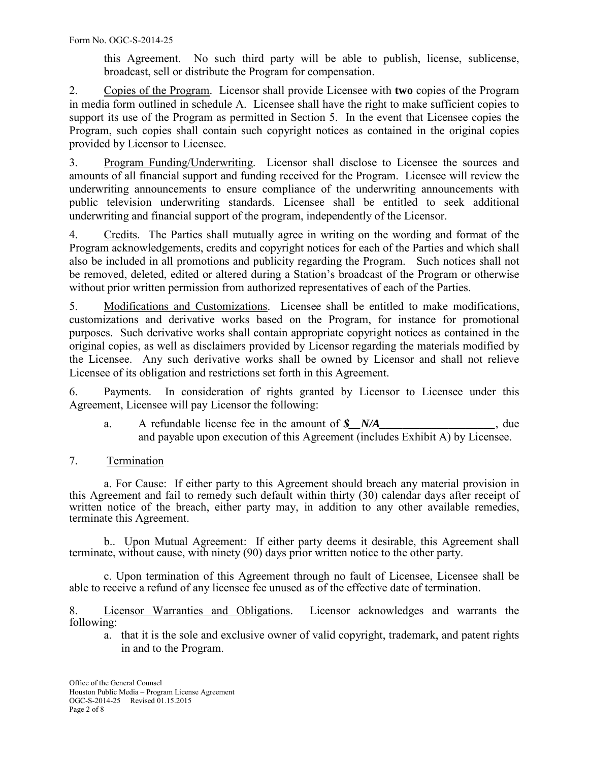this Agreement. No such third party will be able to publish, license, sublicense, broadcast, sell or distribute the Program for compensation.

2. Copies of the Program. Licensor shall provide Licensee with **two** copies of the Program in media form outlined in schedule A. Licensee shall have the right to make sufficient copies to support its use of the Program as permitted in Section 5. In the event that Licensee copies the Program, such copies shall contain such copyright notices as contained in the original copies provided by Licensor to Licensee.

3. Program Funding/Underwriting. Licensor shall disclose to Licensee the sources and amounts of all financial support and funding received for the Program. Licensee will review the underwriting announcements to ensure compliance of the underwriting announcements with public television underwriting standards. Licensee shall be entitled to seek additional underwriting and financial support of the program, independently of the Licensor.

4. Credits. The Parties shall mutually agree in writing on the wording and format of the Program acknowledgements, credits and copyright notices for each of the Parties and which shall also be included in all promotions and publicity regarding the Program. Such notices shall not be removed, deleted, edited or altered during a Station's broadcast of the Program or otherwise without prior written permission from authorized representatives of each of the Parties.

5. Modifications and Customizations. Licensee shall be entitled to make modifications, customizations and derivative works based on the Program, for instance for promotional purposes. Such derivative works shall contain appropriate copyright notices as contained in the original copies, as well as disclaimers provided by Licensor regarding the materials modified by the Licensee. Any such derivative works shall be owned by Licensor and shall not relieve Licensee of its obligation and restrictions set forth in this Agreement.

6. Payments. In consideration of rights granted by Licensor to Licensee under this Agreement, Licensee will pay Licensor the following:

- a. A refundable license fee in the amount of *\$\_\_N/A\_\_\_\_\_\_\_\_\_\_\_\_\_\_\_\_\_\_\_\_*, due and payable upon execution of this Agreement (includes Exhibit A) by Licensee.
- 7. Termination

 a. For Cause: If either party to this Agreement should breach any material provision in this Agreement and fail to remedy such default within thirty (30) calendar days after receipt of written notice of the breach, either party may, in addition to any other available remedies, terminate this Agreement.

 b.. Upon Mutual Agreement: If either party deems it desirable, this Agreement shall terminate, without cause, with ninety (90) days prior written notice to the other party.

c. Upon termination of this Agreement through no fault of Licensee, Licensee shall be able to receive a refund of any licensee fee unused as of the effective date of termination.

8. Licensor Warranties and Obligations. Licensor acknowledges and warrants the following:

a. that it is the sole and exclusive owner of valid copyright, trademark, and patent rights in and to the Program.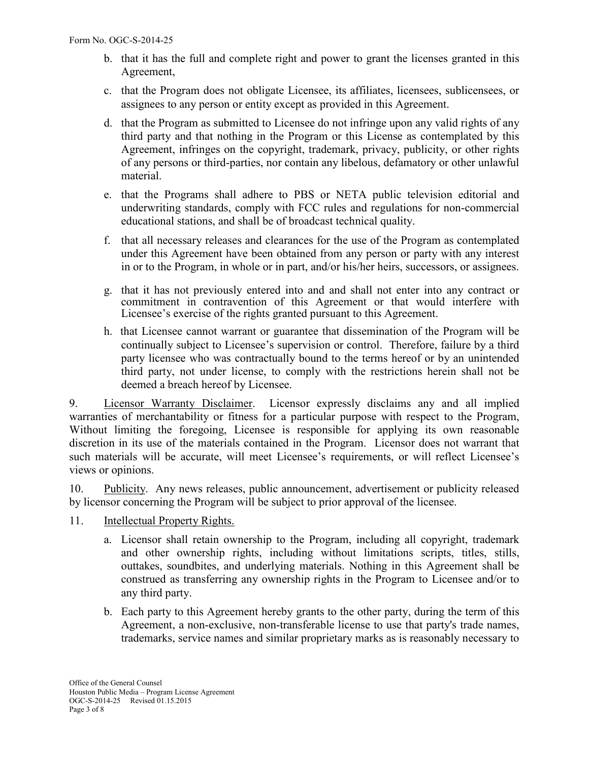- b. that it has the full and complete right and power to grant the licenses granted in this Agreement,
- c. that the Program does not obligate Licensee, its affiliates, licensees, sublicensees, or assignees to any person or entity except as provided in this Agreement.
- d. that the Program as submitted to Licensee do not infringe upon any valid rights of any third party and that nothing in the Program or this License as contemplated by this Agreement, infringes on the copyright, trademark, privacy, publicity, or other rights of any persons or third-parties, nor contain any libelous, defamatory or other unlawful material.
- e. that the Programs shall adhere to PBS or NETA public television editorial and underwriting standards, comply with FCC rules and regulations for non-commercial educational stations, and shall be of broadcast technical quality.
- f. that all necessary releases and clearances for the use of the Program as contemplated under this Agreement have been obtained from any person or party with any interest in or to the Program, in whole or in part, and/or his/her heirs, successors, or assignees.
- g. that it has not previously entered into and and shall not enter into any contract or commitment in contravention of this Agreement or that would interfere with Licensee's exercise of the rights granted pursuant to this Agreement.
- h. that Licensee cannot warrant or guarantee that dissemination of the Program will be continually subject to Licensee's supervision or control. Therefore, failure by a third party licensee who was contractually bound to the terms hereof or by an unintended third party, not under license, to comply with the restrictions herein shall not be deemed a breach hereof by Licensee.

9. Licensor Warranty Disclaimer. Licensor expressly disclaims any and all implied warranties of merchantability or fitness for a particular purpose with respect to the Program, Without limiting the foregoing, Licensee is responsible for applying its own reasonable discretion in its use of the materials contained in the Program. Licensor does not warrant that such materials will be accurate, will meet Licensee's requirements, or will reflect Licensee's views or opinions.

10. Publicity. Any news releases, public announcement, advertisement or publicity released by licensor concerning the Program will be subject to prior approval of the licensee.

- 11. Intellectual Property Rights.
	- a. Licensor shall retain ownership to the Program, including all copyright, trademark and other ownership rights, including without limitations scripts, titles, stills, outtakes, soundbites, and underlying materials. Nothing in this Agreement shall be construed as transferring any ownership rights in the Program to Licensee and/or to any third party.
	- b. Each party to this Agreement hereby grants to the other party, during the term of this Agreement, a non-exclusive, non-transferable license to use that party's trade names, trademarks, service names and similar proprietary marks as is reasonably necessary to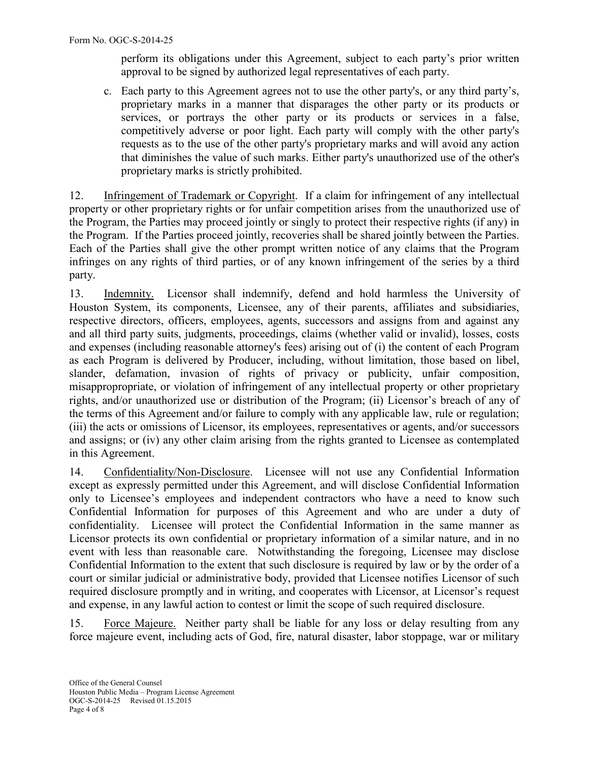perform its obligations under this Agreement, subject to each party's prior written approval to be signed by authorized legal representatives of each party.

c. Each party to this Agreement agrees not to use the other party's, or any third party's, proprietary marks in a manner that disparages the other party or its products or services, or portrays the other party or its products or services in a false, competitively adverse or poor light. Each party will comply with the other party's requests as to the use of the other party's proprietary marks and will avoid any action that diminishes the value of such marks. Either party's unauthorized use of the other's proprietary marks is strictly prohibited.

12. Infringement of Trademark or Copyright. If a claim for infringement of any intellectual property or other proprietary rights or for unfair competition arises from the unauthorized use of the Program, the Parties may proceed jointly or singly to protect their respective rights (if any) in the Program. If the Parties proceed jointly, recoveries shall be shared jointly between the Parties. Each of the Parties shall give the other prompt written notice of any claims that the Program infringes on any rights of third parties, or of any known infringement of the series by a third party.

13. Indemnity. Licensor shall indemnify, defend and hold harmless the University of Houston System, its components, Licensee, any of their parents, affiliates and subsidiaries, respective directors, officers, employees, agents, successors and assigns from and against any and all third party suits, judgments, proceedings, claims (whether valid or invalid), losses, costs and expenses (including reasonable attorney's fees) arising out of (i) the content of each Program as each Program is delivered by Producer, including, without limitation, those based on libel, slander, defamation, invasion of rights of privacy or publicity, unfair composition, misappropropriate, or violation of infringement of any intellectual property or other proprietary rights, and/or unauthorized use or distribution of the Program; (ii) Licensor's breach of any of the terms of this Agreement and/or failure to comply with any applicable law, rule or regulation; (iii) the acts or omissions of Licensor, its employees, representatives or agents, and/or successors and assigns; or (iv) any other claim arising from the rights granted to Licensee as contemplated in this Agreement.

14. Confidentiality/Non-Disclosure. Licensee will not use any Confidential Information except as expressly permitted under this Agreement, and will disclose Confidential Information only to Licensee's employees and independent contractors who have a need to know such Confidential Information for purposes of this Agreement and who are under a duty of confidentiality. Licensee will protect the Confidential Information in the same manner as Licensor protects its own confidential or proprietary information of a similar nature, and in no event with less than reasonable care. Notwithstanding the foregoing, Licensee may disclose Confidential Information to the extent that such disclosure is required by law or by the order of a court or similar judicial or administrative body, provided that Licensee notifies Licensor of such required disclosure promptly and in writing, and cooperates with Licensor, at Licensor's request and expense, in any lawful action to contest or limit the scope of such required disclosure.

15.Force Majeure.Neither party shall be liable for any loss or delay resulting from any force majeure event, including acts of God, fire, natural disaster, labor stoppage, war or military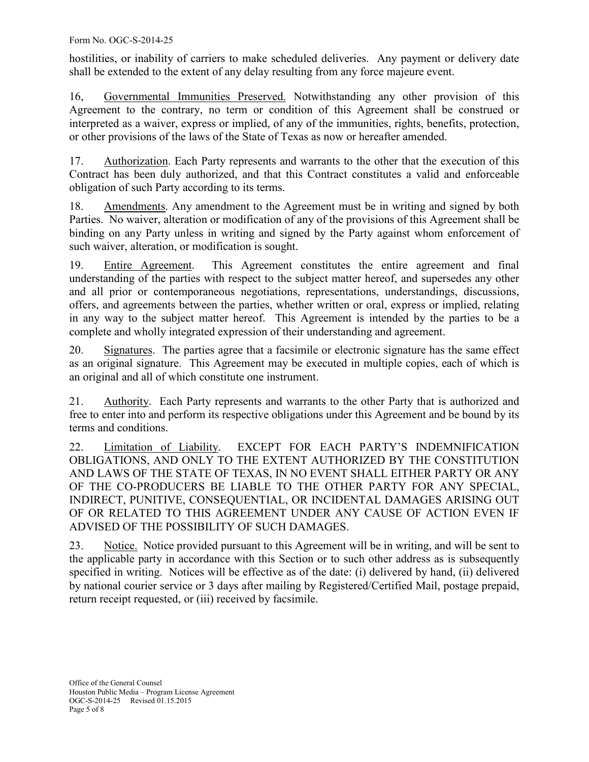### Form No. OGC-S-2014-25

hostilities, or inability of carriers to make scheduled deliveries. Any payment or delivery date shall be extended to the extent of any delay resulting from any force majeure event.

16, Governmental Immunities Preserved. Notwithstanding any other provision of this Agreement to the contrary, no term or condition of this Agreement shall be construed or interpreted as a waiver, express or implied, of any of the immunities, rights, benefits, protection, or other provisions of the laws of the State of Texas as now or hereafter amended.

17. Authorization. Each Party represents and warrants to the other that the execution of this Contract has been duly authorized, and that this Contract constitutes a valid and enforceable obligation of such Party according to its terms.

18. Amendments. Any amendment to the Agreement must be in writing and signed by both Parties. No waiver, alteration or modification of any of the provisions of this Agreement shall be binding on any Party unless in writing and signed by the Party against whom enforcement of such waiver, alteration, or modification is sought.

19. Entire Agreement. This Agreement constitutes the entire agreement and final understanding of the parties with respect to the subject matter hereof, and supersedes any other and all prior or contemporaneous negotiations, representations, understandings, discussions, offers, and agreements between the parties, whether written or oral, express or implied, relating in any way to the subject matter hereof. This Agreement is intended by the parties to be a complete and wholly integrated expression of their understanding and agreement.

20. Signatures. The parties agree that a facsimile or electronic signature has the same effect as an original signature. This Agreement may be executed in multiple copies, each of which is an original and all of which constitute one instrument.

21. Authority. Each Party represents and warrants to the other Party that is authorized and free to enter into and perform its respective obligations under this Agreement and be bound by its terms and conditions.

22. Limitation of Liability. EXCEPT FOR EACH PARTY'S INDEMNIFICATION OBLIGATIONS, AND ONLY TO THE EXTENT AUTHORIZED BY THE CONSTITUTION AND LAWS OF THE STATE OF TEXAS, IN NO EVENT SHALL EITHER PARTY OR ANY OF THE CO-PRODUCERS BE LIABLE TO THE OTHER PARTY FOR ANY SPECIAL, INDIRECT, PUNITIVE, CONSEQUENTIAL, OR INCIDENTAL DAMAGES ARISING OUT OF OR RELATED TO THIS AGREEMENT UNDER ANY CAUSE OF ACTION EVEN IF ADVISED OF THE POSSIBILITY OF SUCH DAMAGES.

23. Notice. Notice provided pursuant to this Agreement will be in writing, and will be sent to the applicable party in accordance with this Section or to such other address as is subsequently specified in writing. Notices will be effective as of the date: (i) delivered by hand, (ii) delivered by national courier service or 3 days after mailing by Registered/Certified Mail, postage prepaid, return receipt requested, or (iii) received by facsimile.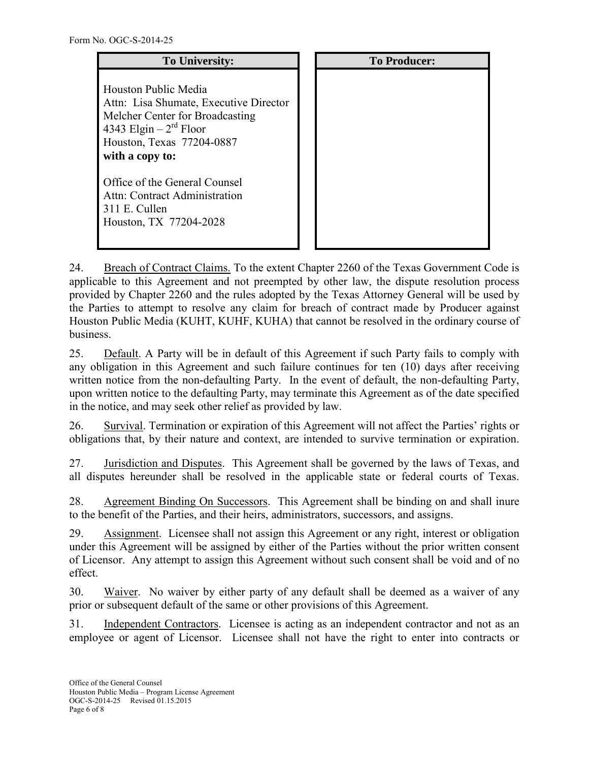| <b>To University:</b>                                                                                                                                                           | <b>To Producer:</b> |
|---------------------------------------------------------------------------------------------------------------------------------------------------------------------------------|---------------------|
| Houston Public Media<br>Attn: Lisa Shumate, Executive Director<br>Melcher Center for Broadcasting<br>4343 Elgin $-2^{rd}$ Floor<br>Houston, Texas 77204-0887<br>with a copy to: |                     |
| Office of the General Counsel<br>Attn: Contract Administration<br>311 E. Cullen<br>Houston, TX 77204-2028                                                                       |                     |

24. Breach of Contract Claims. To the extent Chapter 2260 of the Texas Government Code is applicable to this Agreement and not preempted by other law, the dispute resolution process provided by Chapter 2260 and the rules adopted by the Texas Attorney General will be used by the Parties to attempt to resolve any claim for breach of contract made by Producer against Houston Public Media (KUHT, KUHF, KUHA) that cannot be resolved in the ordinary course of business.

25. Default. A Party will be in default of this Agreement if such Party fails to comply with any obligation in this Agreement and such failure continues for ten (10) days after receiving written notice from the non-defaulting Party. In the event of default, the non-defaulting Party, upon written notice to the defaulting Party, may terminate this Agreement as of the date specified in the notice, and may seek other relief as provided by law.

26. Survival. Termination or expiration of this Agreement will not affect the Parties' rights or obligations that, by their nature and context, are intended to survive termination or expiration.

27. Jurisdiction and Disputes.This Agreement shall be governed by the laws of Texas, and all disputes hereunder shall be resolved in the applicable state or federal courts of Texas.

28. Agreement Binding On Successors.This Agreement shall be binding on and shall inure to the benefit of the Parties, and their heirs, administrators, successors, and assigns.

29. Assignment. Licensee shall not assign this Agreement or any right, interest or obligation under this Agreement will be assigned by either of the Parties without the prior written consent of Licensor. Any attempt to assign this Agreement without such consent shall be void and of no effect.

30. Waiver. No waiver by either party of any default shall be deemed as a waiver of any prior or subsequent default of the same or other provisions of this Agreement.

31. Independent Contractors. Licensee is acting as an independent contractor and not as an employee or agent of Licensor. Licensee shall not have the right to enter into contracts or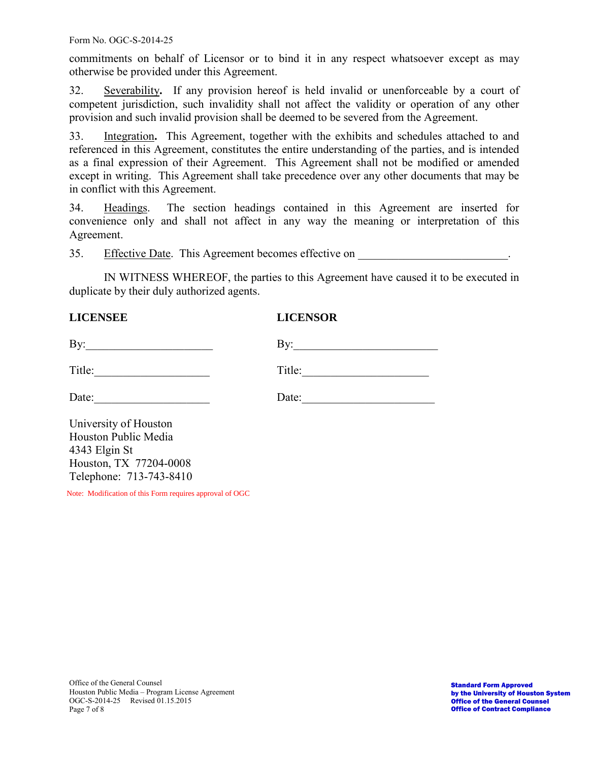Form No. OGC-S-2014-25

commitments on behalf of Licensor or to bind it in any respect whatsoever except as may otherwise be provided under this Agreement.

32. Severability**.** If any provision hereof is held invalid or unenforceable by a court of competent jurisdiction, such invalidity shall not affect the validity or operation of any other provision and such invalid provision shall be deemed to be severed from the Agreement.

33. Integration**.** This Agreement, together with the exhibits and schedules attached to and referenced in this Agreement, constitutes the entire understanding of the parties, and is intended as a final expression of their Agreement. This Agreement shall not be modified or amended except in writing. This Agreement shall take precedence over any other documents that may be in conflict with this Agreement.

34. Headings.The section headings contained in this Agreement are inserted for convenience only and shall not affect in any way the meaning or interpretation of this Agreement.

35. Effective Date. This Agreement becomes effective on

IN WITNESS WHEREOF, the parties to this Agreement have caused it to be executed in duplicate by their duly authorized agents.

### **LICENSEE LICENSOR**

| By: $\qquad \qquad$                                            | By: $\qquad \qquad$                                      |  |
|----------------------------------------------------------------|----------------------------------------------------------|--|
| Title:                                                         | Title:<br><u> 1989 - Johann Stein, mars an de Brasil</u> |  |
| Date: $\qquad \qquad$                                          | Date: $\qquad \qquad$                                    |  |
| University of Houston<br>Houston Public Media<br>4343 Elgin St |                                                          |  |

Note: Modification of this Form requires approval of OGC

Houston, TX 77204-0008 Telephone: 713-743-8410